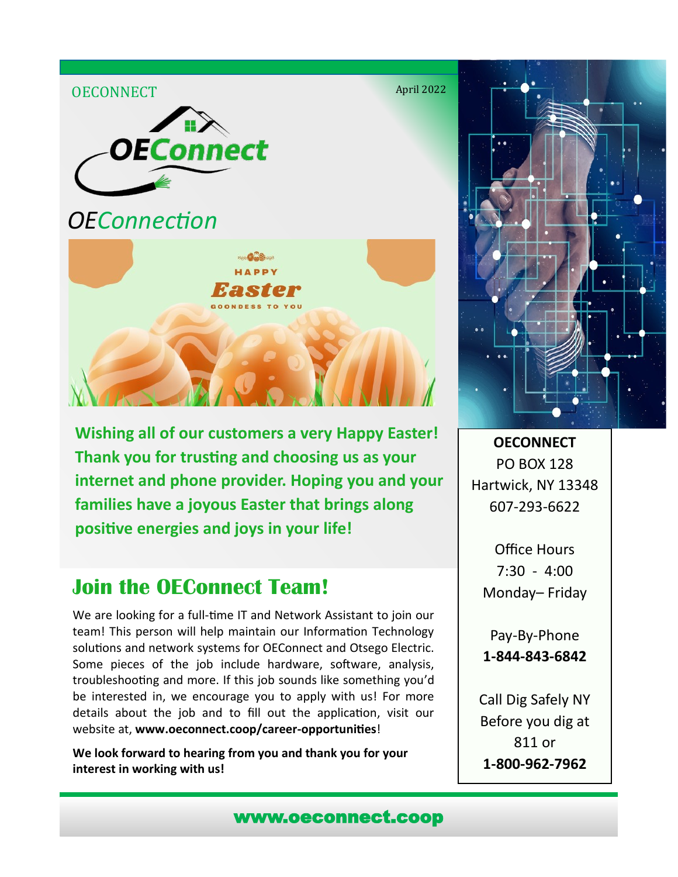

**Wishing all of our customers a very Happy Easter! Thank you for trusting and choosing us as your internet and phone provider. Hoping you and your families have a joyous Easter that brings along positive energies and joys in your life!** 

## **Join the OEConnect Team!**

We are looking for a full-time IT and Network Assistant to join our team! This person will help maintain our Information Technology solutions and network systems for OEConnect and Otsego Electric. Some pieces of the job include hardware, software, analysis, troubleshooting and more. If this job sounds like something you'd be interested in, we encourage you to apply with us! For more details about the job and to fill out the application, visit our website at, **www.oeconnect.coop/career-opportunities**!

**We look forward to hearing from you and thank you for your interest in working with us!**



**OECONNECT** PO BOX 128 Hartwick, NY 13348 607-293-6622

Office Hours 7:30 - 4:00 Monday– Friday

Pay-By-Phone **1-844-843-6842**

Call Dig Safely NY Before you dig at 811 or **1-800-962-7962**

www.oeconnect.coop